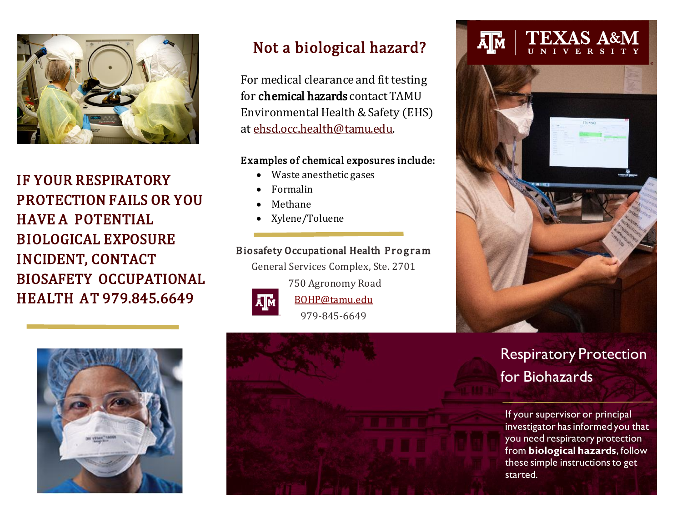

IF YOUR RESPIRATORY PROTECTION FAILS OR YOU HAVE A POTENTIAL BIOLOGICAL EXPOSURE INCIDENT, CONTACT BIOSAFETY OCCUPATIONAL HEALTH AT 979.845.6649



## Not a biological hazard?

For medical clearance and fit testing for chemical hazards contact TAMU Environmental Health & Safety (EHS) at ehsd.occ.health@tamu.edu.

#### Examples of chemical exposures include:

- Waste anesthetic gases
- Formalin
- Methane
- Xylene/Toluene

#### Biosafety Occupational Health Program

General Services Complex, Ste. 2701



750 Agronomy Road

BOHP@tamu.edu 979-845-6649



#### **TEXAS A&M** Āļм



# Respiratory Protection for Biohazards

If your supervisor or principal investigator has informed you that you need respiratory protection from **biological hazards**, follow these simple instructions to get started.